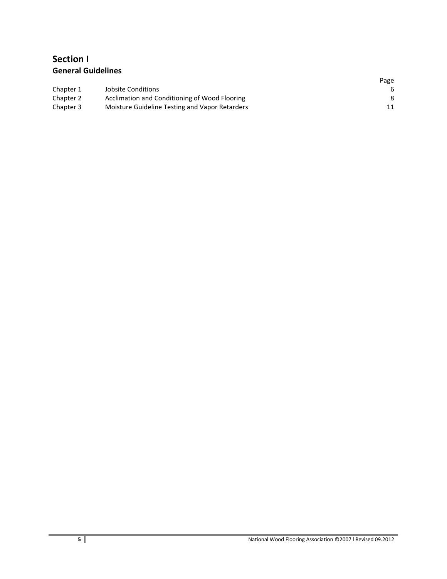# **Section I General Guidelines**

|           |                                                | Page |
|-----------|------------------------------------------------|------|
| Chapter 1 | Jobsite Conditions                             | 6    |
| Chapter 2 | Acclimation and Conditioning of Wood Flooring  | 8    |
| Chapter 3 | Moisture Guideline Testing and Vapor Retarders |      |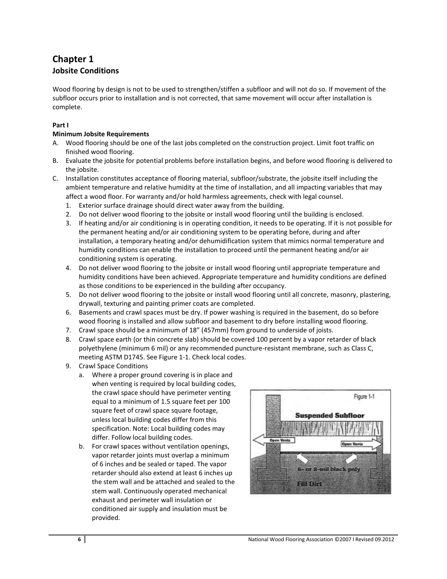# **Chapter 1 Jobsite Conditions**

Wood flooring by design is not to be used to strengthen/stiffen a subfloor and will not do so. If movement of the subfloor occurs prior to installation and is not corrected, that same movement will occur after installation is complete.

## **Part I**

## **Minimum Jobsite Requirements**

- A. Wood flooring should be one of the last jobs completed on the construction project. Limit foot traffic on finished wood flooring.
- B. Evaluate the jobsite for potential problems before installation begins, and before wood flooring is delivered to the jobsite.
- C. Installation constitutes acceptance of flooring material, subfloor/substrate, the jobsite itself including the ambient temperature and relative humidity at the time of installation, and all impacting variables that may affect a wood floor. For warranty and/or hold harmless agreements, check with legal counsel.
	- 1. Exterior surface drainage should direct water away from the building.
	- 2. Do not deliver wood flooring to the jobsite or install wood flooring until the building is enclosed.
	- 3. If heating and/or air conditioning is in operating condition, it needs to be operating. If it is not possible for the permanent heating and/or air conditioning system to be operating before, during and after installation, a temporary heating and/or dehumidification system that mimics normal temperature and humidity conditions can enable the installation to proceed until the permanent heating and/or air conditioning system is operating.
	- 4. Do not deliver wood flooring to the jobsite or install wood flooring until appropriate temperature and humidity conditions have been achieved. Appropriate temperature and humidity conditions are defined as those conditions to be experienced in the building after occupancy.
	- 5. Do not deliver wood flooring to the jobsite or install wood flooring until all concrete, masonry, plastering, drywall, texturing and painting primer coats are completed.
	- 6. Basements and crawl spaces must be dry. If power washing is required in the basement, do so before wood flooring is installed and allow subfloor and basement to dry before installing wood flooring.
	- 7. Crawl space should be a minimum of 18" (457mm) from ground to underside of joists.
	- 8. Crawl space earth (or thin concrete slab) should be covered 100 percent by a vapor retarder of black polyethylene (minimum 6 mil) or any recommended puncture-resistant membrane, such as Class C, meeting ASTM D1745. See Figure 1-1. Check local codes.
	- 9. Crawl Space Conditions
		- a. Where a proper ground covering is in place and when venting is required by local building codes, the crawl space should have perimeter venting equal to a minimum of 1.5 square feet per 100 square feet of crawl space square footage, unless local building codes differ from this specification. Note: Local building codes may differ. Follow local building codes.
		- b. For crawl spaces without ventilation openings, vapor retarder joints must overlap a minimum of 6 inches and be sealed or taped. The vapor retarder should also extend at least 6 inches up the stem wall and be attached and sealed to the stem wall. Continuously operated mechanical exhaust and perimeter wall insulation or conditioned air supply and insulation must be provided.

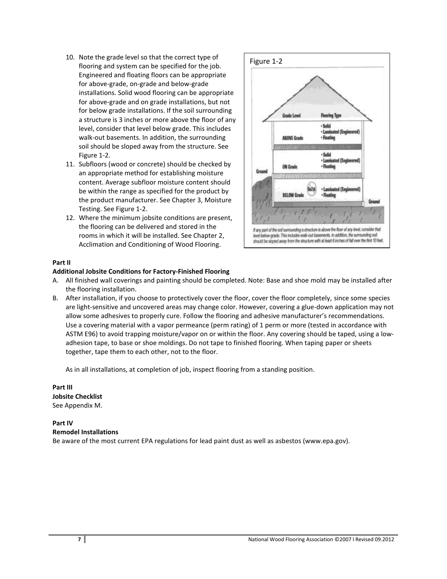- 10. Note the grade level so that the correct type of flooring and system can be specified for the job. Engineered and floating floors can be appropriate for above-grade, on-grade and below-grade installations. Solid wood flooring can be appropriate for above-grade and on grade installations, but not for below grade installations. If the soil surrounding a structure is 3 inches or more above the floor of any level, consider that level below grade. This includes walk-out basements. In addition, the surrounding soil should be sloped away from the structure. See Figure 1-2.
- 11. Subfloors (wood or concrete) should be checked by an appropriate method for establishing moisture content. Average subfloor moisture content should be within the range as specified for the product by the product manufacturer. See Chapter 3, Moisture Testing. See Figure 1-2.
- 12. Where the minimum jobsite conditions are present, the flooring can be delivered and stored in the rooms in which it will be installed. See Chapter 2, Acclimation and Conditioning of Wood Flooring.



#### **Part II**

#### **Additional Jobsite Conditions for Factory-Finished Flooring**

- A. All finished wall coverings and painting should be completed. Note: Base and shoe mold may be installed after the flooring installation.
- B. After installation, if you choose to protectively cover the floor, cover the floor completely, since some species are light-sensitive and uncovered areas may change color. However, covering a glue-down application may not allow some adhesives to properly cure. Follow the flooring and adhesive manufacturer's recommendations. Use a covering material with a vapor permeance (perm rating) of 1 perm or more (tested in accordance with ASTM E96) to avoid trapping moisture/vapor on or within the floor. Any covering should be taped, using a lowadhesion tape, to base or shoe moldings. Do not tape to finished flooring. When taping paper or sheets together, tape them to each other, not to the floor.

As in all installations, at completion of job, inspect flooring from a standing position.

**Part III Jobsite Checklist** See Appendix M.

## **Part IV**

**Remodel Installations**

Be aware of the most current EPA regulations for lead paint dust as well as asbestos (www.epa.gov).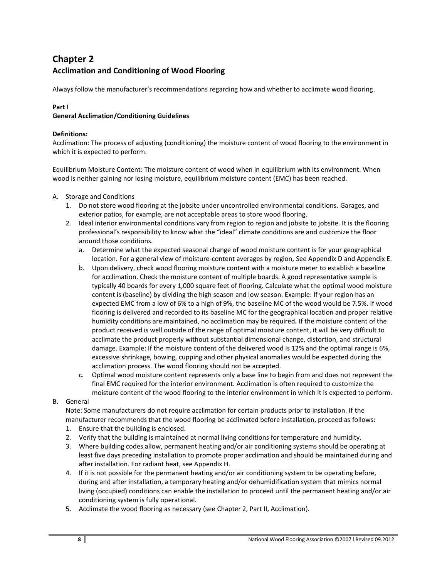# **Chapter 2 Acclimation and Conditioning of Wood Flooring**

Always follow the manufacturer's recommendations regarding how and whether to acclimate wood flooring.

## **Part I**

## **General Acclimation/Conditioning Guidelines**

### **Definitions:**

Acclimation: The process of adjusting (conditioning) the moisture content of wood flooring to the environment in which it is expected to perform.

Equilibrium Moisture Content: The moisture content of wood when in equilibrium with its environment. When wood is neither gaining nor losing moisture, equilibrium moisture content (EMC) has been reached.

- A. Storage and Conditions
	- 1. Do not store wood flooring at the jobsite under uncontrolled environmental conditions. Garages, and exterior patios, for example, are not acceptable areas to store wood flooring.
	- 2. Ideal interior environmental conditions vary from region to region and jobsite to jobsite. It is the flooring professional's responsibility to know what the "ideal" climate conditions are and customize the floor around those conditions.
		- a. Determine what the expected seasonal change of wood moisture content is for your geographical location. For a general view of moisture-content averages by region, See Appendix D and Appendix E.
		- b. Upon delivery, check wood flooring moisture content with a moisture meter to establish a baseline for acclimation. Check the moisture content of multiple boards. A good representative sample is typically 40 boards for every 1,000 square feet of flooring. Calculate what the optimal wood moisture content is (baseline) by dividing the high season and low season. Example: If your region has an expected EMC from a low of 6% to a high of 9%, the baseline MC of the wood would be 7.5%. If wood flooring is delivered and recorded to its baseline MC for the geographical location and proper relative humidity conditions are maintained, no acclimation may be required*.* If the moisture content of the product received is well outside of the range of optimal moisture content, it will be very difficult to acclimate the product properly without substantial dimensional change, distortion, and structural damage. Example: If the moisture content of the delivered wood is 12% and the optimal range is 6%, excessive shrinkage, bowing, cupping and other physical anomalies would be expected during the acclimation process. The wood flooring should not be accepted.
		- c. Optimal wood moisture content represents only a base line to begin from and does not represent the final EMC required for the interior environment. Acclimation is often required to customize the moisture content of the wood flooring to the interior environment in which it is expected to perform.
- B. General

Note: Some manufacturers do not require acclimation for certain products prior to installation. If the manufacturer recommends that the wood flooring be acclimated before installation, proceed as follows:

- 1. Ensure that the building is enclosed.
- 2. Verify that the building is maintained at normal living conditions for temperature and humidity.
- 3. Where building codes allow, permanent heating and/or air conditioning systems should be operating at least five days preceding installation to promote proper acclimation and should be maintained during and after installation. For radiant heat, see Appendix H.
- 4. If it is not possible for the permanent heating and/or air conditioning system to be operating before, during and after installation, a temporary heating and/or dehumidification system that mimics normal living (occupied) conditions can enable the installation to proceed until the permanent heating and/or air conditioning system is fully operational.
- 5. Acclimate the wood flooring as necessary (see Chapter 2, Part II, Acclimation).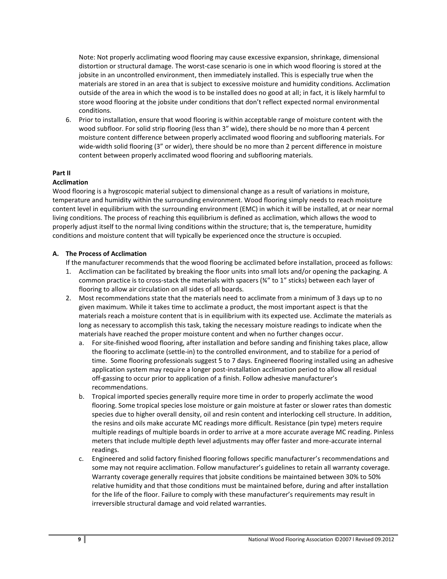Note: Not properly acclimating wood flooring may cause excessive expansion, shrinkage, dimensional distortion or structural damage. The worst-case scenario is one in which wood flooring is stored at the jobsite in an uncontrolled environment, then immediately installed. This is especially true when the materials are stored in an area that is subject to excessive moisture and humidity conditions. Acclimation outside of the area in which the wood is to be installed does no good at all; in fact, it is likely harmful to store wood flooring at the jobsite under conditions that don't reflect expected normal environmental conditions.

6. Prior to installation, ensure that wood flooring is within acceptable range of moisture content with the wood subfloor. For solid strip flooring (less than 3" wide), there should be no more than 4 percent moisture content difference between properly acclimated wood flooring and subflooring materials. For wide-width solid flooring (3" or wider), there should be no more than 2 percent difference in moisture content between properly acclimated wood flooring and subflooring materials.

### **Part II**

#### **Acclimation**

Wood flooring is a hygroscopic material subject to dimensional change as a result of variations in moisture, temperature and humidity within the surrounding environment. Wood flooring simply needs to reach moisture content level in equilibrium with the surrounding environment (EMC) in which it will be installed, at or near normal living conditions. The process of reaching this equilibrium is defined as acclimation, which allows the wood to properly adjust itself to the normal living conditions within the structure; that is, the temperature, humidity conditions and moisture content that will typically be experienced once the structure is occupied.

#### **A. The Process of Acclimation**

If the manufacturer recommends that the wood flooring be acclimated before installation, proceed as follows:

- 1. Acclimation can be facilitated by breaking the floor units into small lots and/or opening the packaging. A common practice is to cross‐stack the materials with spacers (¾" to 1" sticks) between each layer of flooring to allow air circulation on all sides of all boards.
- 2. Most recommendations state that the materials need to acclimate from a minimum of 3 days up to no given maximum. While it takes time to acclimate a product, the most important aspect is that the materials reach a moisture content that is in equilibrium with its expected use. Acclimate the materials as long as necessary to accomplish this task, taking the necessary moisture readings to indicate when the materials have reached the proper moisture content and when no further changes occur.
	- a. For site‐finished wood flooring, after installation and before sanding and finishing takes place, allow the flooring to acclimate (settle‐in) to the controlled environment, and to stabilize for a period of time. Some flooring professionals suggest 5 to 7 days. Engineered flooring installed using an adhesive application system may require a longer post-installation acclimation period to allow all residual off‐gassing to occur prior to application of a finish. Follow adhesive manufacturer's recommendations.
	- b. Tropical imported species generally require more time in order to properly acclimate the wood flooring. Some tropical species lose moisture or gain moisture at faster or slower rates than domestic species due to higher overall density, oil and resin content and interlocking cell structure. In addition, the resins and oils make accurate MC readings more difficult. Resistance (pin type) meters require multiple readings of multiple boards in order to arrive at a more accurate average MC reading. Pinless meters that include multiple depth level adjustments may offer faster and more-accurate internal readings.
	- c. Engineered and solid factory finished flooring follows specific manufacturer's recommendations and some may not require acclimation. Follow manufacturer's guidelines to retain all warranty coverage. Warranty coverage generally requires that jobsite conditions be maintained between 30% to 50% relative humidity and that those conditions must be maintained before, during and after installation for the life of the floor. Failure to comply with these manufacturer's requirements may result in irreversible structural damage and void related warranties.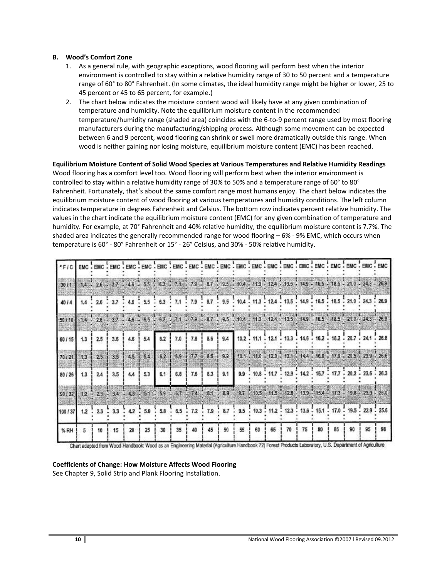### **B. Wood's Comfort Zone**

- 1. As a general rule, with geographic exceptions, wood flooring will perform best when the interior environment is controlled to stay within a relative humidity range of 30 to 50 percent and a temperature range of 60° to 80° Fahrenheit. (In some climates, the ideal humidity range might be higher or lower, 25 to 45 percent or 45 to 65 percent, for example.)
- 2. The chart below indicates the moisture content wood will likely have at any given combination of temperature and humidity. Note the equilibrium moisture content in the recommended temperature/humidity range (shaded area) coincides with the 6‐to‐9 percent range used by most flooring manufacturers during the manufacturing/shipping process. Although some movement can be expected between 6 and 9 percent, wood flooring can shrink or swell more dramatically outside this range. When wood is neither gaining nor losing moisture, equilibrium moisture content (EMC) has been reached.

### **Equilibrium Moisture Content of Solid Wood Species at Various Temperatures and Relative Humidity Readings**

Wood flooring has a comfort level too. Wood flooring will perform best when the interior environment is controlled to stay within a relative humidity range of 30% to 50% and a temperature range of 60° to 80° Fahrenheit. Fortunately, that's about the same comfort range most humans enjoy. The chart below indicates the equilibrium moisture content of wood flooring at various temperatures and humidity conditions. The left column indicates temperature in degrees Fahrenheit and Celsius. The bottom row indicates percent relative humidity. The values in the chart indicate the equilibrium moisture content (EMC) for any given combination of temperature and humidity. For example, at 70° Fahrenheit and 40% relative humidity, the equilibrium moisture content is 7.7%. The shaded area indicates the generally recommended range for wood flooring – 6% - 9% EMC, which occurs when temperature is 60° - 80° Fahrenheit or 15° - 26° Celsius, and 30% - 50% relative humidity.

|                                                                           |                  |             |                               |        |     |         | EMC . EMC . EMC . EMC . EMC . EMC . EMC . EMC . EMC . EMC . EMC . EMC . EMC . EMC . EMC . EMC . EMC . EMC . EMC                                       |    |    |    |      |       |                                                                                             |    |    |    |    |    |    |
|---------------------------------------------------------------------------|------------------|-------------|-------------------------------|--------|-----|---------|-------------------------------------------------------------------------------------------------------------------------------------------------------|----|----|----|------|-------|---------------------------------------------------------------------------------------------|----|----|----|----|----|----|
| $-3071$                                                                   |                  |             |                               |        |     |         | 14 . 26 . 37 . 46 . 55 . 63 . 74 . 79 . 87 . 95 . 104 . 113 . 124 . 135 . 149 . 165 . 185 . 210 . 243 . 269                                           |    |    |    |      |       |                                                                                             |    |    |    |    |    |    |
| 40/4                                                                      |                  |             |                               |        |     |         | 1.4 . 2.6 . 3.7 . 4.6 . 5.5 . 6.3 . 7.1 . 7.9 . 8.7 . 9.5 . 10.4 . 11.3 . 12.4 . 13.5 . 14.9 . 16.5 . 18.5 . 21.0 . 24.3 . 26.9                       |    |    |    |      |       |                                                                                             |    |    |    |    |    |    |
| 50/10 14 25 37 45 55 53 71 79 87 95 104 113 124 135 149 15 13 210 243 269 |                  |             |                               |        |     |         |                                                                                                                                                       |    |    |    |      |       |                                                                                             |    |    |    |    |    |    |
| 60/15                                                                     |                  | $1.3$ ! 2.5 | 3.6 <sup>1</sup>              | 4.6 !  | 5.4 | $6.2$ ! |                                                                                                                                                       |    |    |    |      |       | 7.0   7.8   8.6   9.4   10.2   11.1   12.1   13.3   14.6   16.2   18.2   20.7   24.1   26.8 |    |    |    |    |    |    |
| 70/21                                                                     |                  |             | $1.3$   2.5   3.5   4.5   5.4 |        |     |         | 6.2 5.9 7.7 8.5 9.2                                                                                                                                   |    |    |    |      |       | 10.1 11.0 12.0 13.1 14.4 16.0 17.9 20.5 23.9 26.6                                           |    |    |    |    |    |    |
| 80/26                                                                     | 1.3 <sup>1</sup> |             |                               |        |     |         |                                                                                                                                                       |    |    |    |      |       |                                                                                             |    |    |    |    |    |    |
| 90 / 32                                                                   |                  |             |                               |        |     |         | 12 23 34 43 51 59 67 74 84 89 97 105 115 125 139 154 173 198 233 260                                                                                  |    |    |    |      |       |                                                                                             |    |    |    |    |    |    |
| 100 / 37                                                                  |                  |             |                               |        |     |         | $1.2$ $2.3$ $3.3$ $3.4$ $4.2$ $2.50$ $3.58$ $3.65$ $3.72$ $3.79$ $3.87$ $3.95$ $3.103$ $3.112$ $3.123$ $3.135$ $3.151$ $3.170$ $3.193$ $3.29$ $3.256$ |    |    |    |      |       |                                                                                             |    |    |    |    |    |    |
| %RH                                                                       | $5^{\circ}$      | 10          | 15                            | $20 -$ | 25  | 30      | 35                                                                                                                                                    | 40 | 45 | 50 | 1.55 | 60 55 | 70                                                                                          | 75 | 80 | 85 | 90 | 95 | 98 |

Chart adapted from Wood Handbook: Wood as an Engineering Material (Agriculture Handbook 72) Forest Products Laboratory, U.S. Department of Agriculture

### **Coefficients of Change: How Moisture Affects Wood Flooring**

See Chapter 9, Solid Strip and Plank Flooring Installation.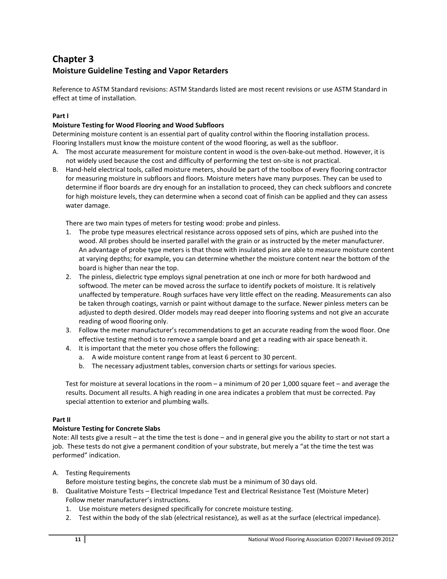# **Chapter 3 Moisture Guideline Testing and Vapor Retarders**

Reference to ASTM Standard revisions: ASTM Standards listed are most recent revisions or use ASTM Standard in effect at time of installation.

## **Part I**

## **Moisture Testing for Wood Flooring and Wood Subfloors**

Determining moisture content is an essential part of quality control within the flooring installation process. Flooring Installers must know the moisture content of the wood flooring, as well as the subfloor.

- A. The most accurate measurement for moisture content in wood is the oven-bake-out method. However, it is not widely used because the cost and difficulty of performing the test on‐site is not practical.
- B. Hand‐held electrical tools, called moisture meters, should be part of the toolbox of every flooring contractor for measuring moisture in subfloors and floors. Moisture meters have many purposes. They can be used to determine if floor boards are dry enough for an installation to proceed, they can check subfloors and concrete for high moisture levels, they can determine when a second coat of finish can be applied and they can assess water damage.

There are two main types of meters for testing wood: probe and pinless.

- 1. The probe type measures electrical resistance across opposed sets of pins, which are pushed into the wood. All probes should be inserted parallel with the grain or as instructed by the meter manufacturer. An advantage of probe type meters is that those with insulated pins are able to measure moisture content at varying depths; for example, you can determine whether the moisture content near the bottom of the board is higher than near the top.
- 2. The pinless, dielectric type employs signal penetration at one inch or more for both hardwood and softwood. The meter can be moved across the surface to identify pockets of moisture. It is relatively unaffected by temperature. Rough surfaces have very little effect on the reading. Measurements can also be taken through coatings, varnish or paint without damage to the surface. Newer pinless meters can be adjusted to depth desired. Older models may read deeper into flooring systems and not give an accurate reading of wood flooring only.
- 3. Follow the meter manufacturer's recommendations to get an accurate reading from the wood floor. One effective testing method is to remove a sample board and get a reading with air space beneath it.
- 4. It is important that the meter you chose offers the following:
	- a. A wide moisture content range from at least 6 percent to 30 percent.
	- b. The necessary adjustment tables, conversion charts or settings for various species.

Test for moisture at several locations in the room – a minimum of 20 per 1,000 square feet – and average the results. Document all results. A high reading in one area indicates a problem that must be corrected. Pay special attention to exterior and plumbing walls.

### **Part II**

## **Moisture Testing for Concrete Slabs**

Note: All tests give a result – at the time the test is done – and in general give you the ability to start or not start a job. These tests do not give a permanent condition of your substrate, but merely a "at the time the test was performed" indication.

- A. Testing Requirements
	- Before moisture testing begins, the concrete slab must be a minimum of 30 days old.
- B. Qualitative Moisture Tests Electrical Impedance Test and Electrical Resistance Test (Moisture Meter) Follow meter manufacturer's instructions.
	- 1. Use moisture meters designed specifically for concrete moisture testing.
	- 2. Test within the body of the slab (electrical resistance), as well as at the surface (electrical impedance).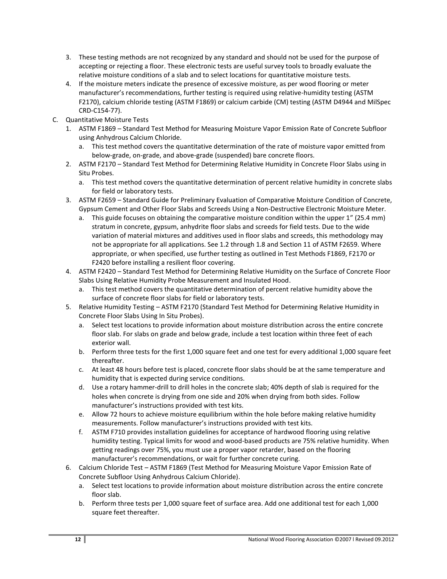- 3. These testing methods are not recognized by any standard and should not be used for the purpose of accepting or rejecting a floor. These electronic tests are useful survey tools to broadly evaluate the relative moisture conditions of a slab and to select locations for quantitative moisture tests.
- 4. If the moisture meters indicate the presence of excessive moisture, as per wood flooring or meter manufacturer's recommendations, further testing is required using relative-humidity testing (ASTM F2170), calcium chloride testing (ASTM F1869) or calcium carbide (CM) testing (ASTM D4944 and MilSpec CRD-C154-77).
- C. Quantitative Moisture Tests
	- 1. ASTM F1869 Standard Test Method for Measuring Moisture Vapor Emission Rate of Concrete Subfloor using Anhydrous Calcium Chloride.
		- a. This test method covers the quantitative determination of the rate of moisture vapor emitted from below-grade, on-grade, and above-grade (suspended) bare concrete floors.
	- 2. ASTM F2170 Standard Test Method for Determining Relative Humidity in Concrete Floor Slabs using in Situ Probes.
		- a. This test method covers the quantitative determination of percent relative humidity in concrete slabs for field or laboratory tests.
	- 3. ASTM F2659 Standard Guide for Preliminary Evaluation of Comparative Moisture Condition of Concrete, Gypsum Cement and Other Floor Slabs and Screeds Using a Non-Destructive Electronic Moisture Meter.
		- a. This guide focuses on obtaining the comparative moisture condition within the upper 1" (25.4 mm) stratum in concrete, gypsum, anhydrite floor slabs and screeds for field tests. Due to the wide variation of material mixtures and additives used in floor slabs and screeds, this methodology may not be appropriate for all applications. See 1.2 through 1.8 and Section 11 of ASTM F2659. Where appropriate, or when specified, use further testing as outlined in Test Methods F1869, F2170 or F2420 before installing a resilient floor covering.
	- 4. ASTM F2420 Standard Test Method for Determining Relative Humidity on the Surface of Concrete Floor Slabs Using Relative Humidity Probe Measurement and Insulated Hood.
		- a. This test method covers the quantitative determination of percent relative humidity above the surface of concrete floor slabs for field or laboratory tests.
	- 5. Relative Humidity Testing ASTM F2170 (Standard Test Method for Determining Relative Humidity in Concrete Floor Slabs Using In Situ Probes).
		- a. Select test locations to provide information about moisture distribution across the entire concrete floor slab. For slabs on grade and below grade, include a test location within three feet of each exterior wall.
		- b. Perform three tests for the first 1,000 square feet and one test for every additional 1,000 square feet thereafter.
		- c. At least 48 hours before test is placed, concrete floor slabs should be at the same temperature and humidity that is expected during service conditions.
		- d. Use a rotary hammer-drill to drill holes in the concrete slab; 40% depth of slab is required for the holes when concrete is drying from one side and 20% when drying from both sides. Follow manufacturer's instructions provided with test kits.
		- e. Allow 72 hours to achieve moisture equilibrium within the hole before making relative humidity measurements. Follow manufacturer's instructions provided with test kits.
		- f. ASTM F710 provides installation guidelines for acceptance of hardwood flooring using relative humidity testing. Typical limits for wood and wood-based products are 75% relative humidity. When getting readings over 75%, you must use a proper vapor retarder, based on the flooring manufacturer's recommendations, or wait for further concrete curing.
	- 6. Calcium Chloride Test ASTM F1869 (Test Method for Measuring Moisture Vapor Emission Rate of Concrete Subfloor Using Anhydrous Calcium Chloride).
		- a. Select test locations to provide information about moisture distribution across the entire concrete floor slab.
		- b. Perform three tests per 1,000 square feet of surface area. Add one additional test for each 1,000 square feet thereafter.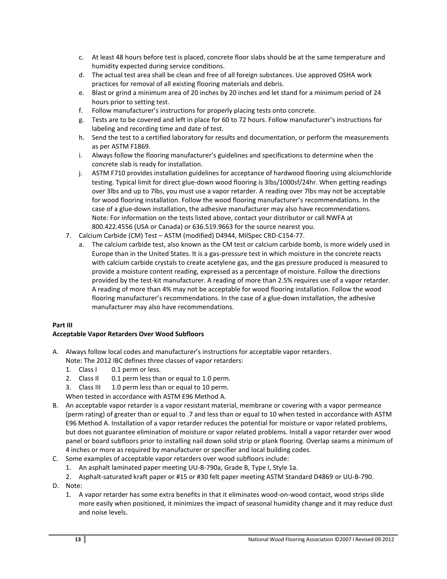- c. At least 48 hours before test is placed, concrete floor slabs should be at the same temperature and humidity expected during service conditions.
- d. The actual test area shall be clean and free of all foreign substances. Use approved OSHA work practices for removal of all existing flooring materials and debris.
- e. Blast or grind a minimum area of 20 inches by 20 inches and let stand for a minimum period of 24 hours prior to setting test.
- f. Follow manufacturer's instructions for properly placing tests onto concrete.
- g. Tests are to be covered and left in place for 60 to 72 hours. Follow manufacturer's instructions for labeling and recording time and date of test.
- h. Send the test to a certified laboratory for results and documentation, or perform the measurements as per ASTM F1869.
- i. Always follow the flooring manufacturer's guidelines and specifications to determine when the concrete slab is ready for installation.
- j. ASTM F710 provides installation guidelines for acceptance of hardwood flooring using alciumchloride testing. Typical limit for direct glue-down wood flooring is 3lbs/1000sf/24hr. When getting readings over 3lbs and up to 7lbs, you must use a vapor retarder. A reading over 7lbs may not be acceptable for wood flooring installation. Follow the wood flooring manufacturer's recommendations. In the case of a glue-down installation, the adhesive manufacturer may also have recommendations. Note: For information on the tests listed above, contact your distributor or call NWFA at 800.422.4556 (USA or Canada) or 636.519.9663 for the source nearest you.
- 7. Calcium Carbide (CM) Test ASTM (modified) D4944, MilSpec CRD-C154-77.
	- a. The calcium carbide test, also known as the CM test or calcium carbide bomb, is more widely used in Europe than in the United States. It is a gas-pressure test in which moisture in the concrete reacts with calcium carbide crystals to create acetylene gas, and the gas pressure produced is measured to provide a moisture content reading, expressed as a percentage of moisture. Follow the directions provided by the test-kit manufacturer. A reading of more than 2.5% requires use of a vapor retarder. A reading of more than 4% may not be acceptable for wood flooring installation. Follow the wood flooring manufacturer's recommendations. In the case of a glue-down installation, the adhesive manufacturer may also have recommendations.

## **Part III**

## **Acceptable Vapor Retarders Over Wood Subfloors**

- A. Always follow local codes and manufacturer's instructions for acceptable vapor retarders.
	- Note: The 2012 IBC defines three classes of vapor retarders:
	- 1. Class I 0.1 perm or less.
	- 2. Class II 0.1 perm less than or equal to 1.0 perm.
	- 3. Class III 1.0 perm less than or equal to 10 perm.
	- When tested in accordance with ASTM E96 Method A.
- B. An acceptable vapor retarder is a vapor resistant material, membrane or covering with a vapor permeance (perm rating) of greater than or equal to .7 and less than or equal to 10 when tested in accordance with ASTM E96 Method A. Installation of a vapor retarder reduces the potential for moisture or vapor related problems, but does not guarantee elimination of moisture or vapor related problems. Install a vapor retarder over wood panel or board subfloors prior to installing nail down solid strip or plank flooring. Overlap seams a minimum of 4 inches or more as required by manufacturer or specifier and local building codes.
- C. Some examples of acceptable vapor retarders over wood subfloors include:
	- 1. An asphalt laminated paper meeting UU-B-790a, Grade B, Type I, Style 1a.
	- 2. Asphalt-saturated kraft paper or #15 or #30 felt paper meeting ASTM Standard D4869 or UU-B-790.
- D. Note:
	- 1. A vapor retarder has some extra benefits in that it eliminates wood-on-wood contact, wood strips slide more easily when positioned, it minimizes the impact of seasonal humidity change and it may reduce dust and noise levels.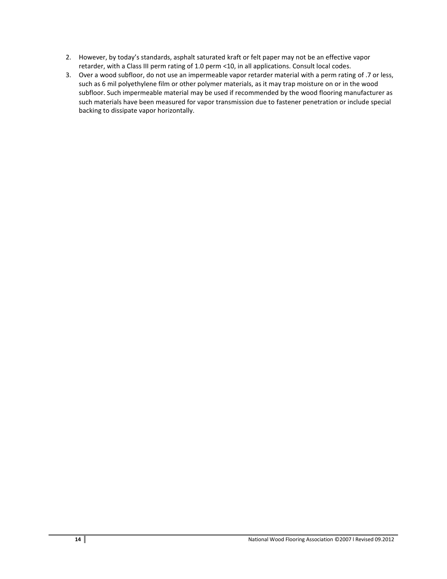- 2. However, by today's standards, asphalt saturated kraft or felt paper may not be an effective vapor retarder, with a Class III perm rating of 1.0 perm <10, in all applications. Consult local codes.
- 3. Over a wood subfloor, do not use an impermeable vapor retarder material with a perm rating of .7 or less, such as 6 mil polyethylene film or other polymer materials, as it may trap moisture on or in the wood subfloor. Such impermeable material may be used if recommended by the wood flooring manufacturer as such materials have been measured for vapor transmission due to fastener penetration or include special backing to dissipate vapor horizontally.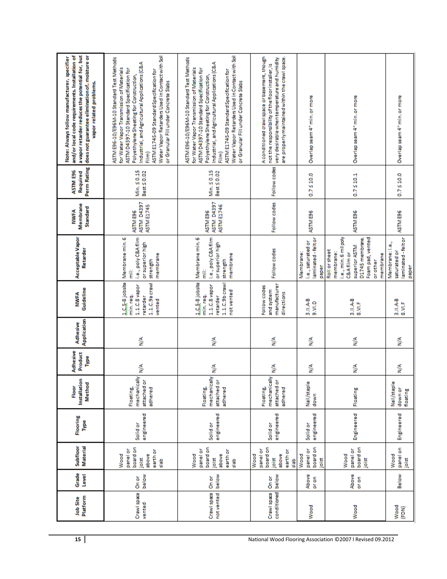| a vapor retarder reduces the potential for, but<br>and/or local code requirements. Installation of<br>does not guarantee elimination of, moisture or<br>Note: Always follow manufacturer, specifier<br>vapor related problems. | Water Vapor Retarders Used in Contact with Soil<br>ASTM E96-10/E96M-10 Standard Test Methods<br>Industrial, and Agricultural Applications (C&A<br>for Water Vapor Transmission of Materials<br>ASTM D4397-10 Standard Specification for<br>ASTM E1745-09 Standard Specification for<br>Polyethylene Sheeting for Construction,<br>or Granular Fill under Concrete Slabs<br>Film | Water Vapor Retarders Used in Contact with Soil<br>ASTM E96-10/E96M-10 Standard Test Methods<br>Industrial, and Agricultural Applications (C&A<br>for Water Vapor Transmission of Materials<br>ASTM D4397-10 Standard Specification for<br>ASTM E1745-09 Standard Specification for<br>Polyethylene Sheeting for Construction,<br>or Granular Fill under Concrete Slabs<br>Film) | A conditioned crawl space or basement, though<br>very desirable when temperature and humidity<br>are properly maintained within the crawl space.<br>not the responsibility of the floor installer, is | Overlap seam 4" min. or more                                | Overlap seam 4" min. or more                                                                                                                               | Overlap seam 4" min. or more                                |
|--------------------------------------------------------------------------------------------------------------------------------------------------------------------------------------------------------------------------------|---------------------------------------------------------------------------------------------------------------------------------------------------------------------------------------------------------------------------------------------------------------------------------------------------------------------------------------------------------------------------------|----------------------------------------------------------------------------------------------------------------------------------------------------------------------------------------------------------------------------------------------------------------------------------------------------------------------------------------------------------------------------------|-------------------------------------------------------------------------------------------------------------------------------------------------------------------------------------------------------|-------------------------------------------------------------|------------------------------------------------------------------------------------------------------------------------------------------------------------|-------------------------------------------------------------|
| <b>Perm Rating</b><br>ASTM E96<br>Required                                                                                                                                                                                     | Min. 50.15<br>Best < 0.02                                                                                                                                                                                                                                                                                                                                                       | Min. 50.15<br>Best < 0.02                                                                                                                                                                                                                                                                                                                                                        | Follow codes                                                                                                                                                                                          | $0.7 \le 10.0$                                              | 0.7510.1                                                                                                                                                   | $0.7 \le 10.0$                                              |
| Membrane<br>Standard<br><b>NIMIR</b>                                                                                                                                                                                           | <b>ASTM D4397</b><br><b>ASTM E1745</b><br>ASTM E96                                                                                                                                                                                                                                                                                                                              | <b>ASTM D4397</b><br>ASTM E1746<br>ASTM E96                                                                                                                                                                                                                                                                                                                                      | Follow codes                                                                                                                                                                                          | ASTM E96                                                    | ASTM E96                                                                                                                                                   | ASTM E96                                                    |
| Acceptable Vapor<br>Retarder                                                                                                                                                                                                   | i.e., poly C&Afilm<br>1, C, S-8 jobsite   Membrane min. 6<br>or superior high<br>membrane<br>strength<br>Ë                                                                                                                                                                                                                                                                      | i.e., poly C&A film<br>Membrane min. 6<br>or superior high<br>membrane<br>strength<br>Ë                                                                                                                                                                                                                                                                                          | Follow codes                                                                                                                                                                                          | aminated-feltor<br>i.e., saturated or<br>Membrane:<br>paper | i.e., min. 6 mil poly<br>Foam pad, vented<br>D1745 membrane<br>superior ASTM<br>Roll or sheet<br>membrane:<br><b>C&amp;Afilm or</b><br>membrane<br>orother | laminated-feltor<br>Membrane:i.e.,<br>saturated or<br>paper |
| Guideline<br><b>NWWFA</b>                                                                                                                                                                                                      | 1.1.C.9acraw<br>1.1.C.8 vapor<br>min.req.<br>retarder<br>vented                                                                                                                                                                                                                                                                                                                 | 1.C.5-8 jobsite<br>$1.1.C.9b$ crawl<br>1.1.C.8 vapor<br>not vented<br>min.req.<br>retarder                                                                                                                                                                                                                                                                                       | manufacturer<br>Follow codes<br>and system<br>directions                                                                                                                                              | $3.11.A-B$<br>9.30.0                                        | $3.11.A-B$<br>8.VI.F                                                                                                                                       | 3.II.A-B<br>8.VILF                                          |
| Application<br>Adhesive                                                                                                                                                                                                        | ≶                                                                                                                                                                                                                                                                                                                                                                               | ≶                                                                                                                                                                                                                                                                                                                                                                                | ⋚                                                                                                                                                                                                     | ≶                                                           | ⋚                                                                                                                                                          | ⋚                                                           |
| Adhesive<br>Product<br>Type                                                                                                                                                                                                    | ≶                                                                                                                                                                                                                                                                                                                                                                               | Ş                                                                                                                                                                                                                                                                                                                                                                                | ≶                                                                                                                                                                                                     | ≸                                                           | ≸                                                                                                                                                          | ≸                                                           |
| Installation<br><b>Method</b><br>Floor                                                                                                                                                                                         | mechanically<br>attached or<br>adhered<br><b>Floating</b>                                                                                                                                                                                                                                                                                                                       | mechanically<br>attached or<br><b>Floating</b><br>adhered                                                                                                                                                                                                                                                                                                                        | mechanically<br>attached or<br>Floating,<br>adhered                                                                                                                                                   | Nail/staple<br>down                                         | Floating                                                                                                                                                   | Nail/staple<br>down or<br>floating                          |
| Flooring<br>Type                                                                                                                                                                                                               | engineered<br><b>Solidor</b>                                                                                                                                                                                                                                                                                                                                                    | engineered<br><b>Solid</b> or                                                                                                                                                                                                                                                                                                                                                    | engineered<br><b>Solid</b> or                                                                                                                                                                         | engineered<br>Solidor                                       | Engineered                                                                                                                                                 | Engineered                                                  |
| <b>Material</b><br>Subfloor                                                                                                                                                                                                    | board on<br>panel or<br>earth or<br>Wood<br>above<br>joist<br>흛                                                                                                                                                                                                                                                                                                                 | board on<br>panel or<br>earth or<br>Wood<br>above<br>joist<br>흛                                                                                                                                                                                                                                                                                                                  | board on<br>panel or<br>earth or<br>Wood<br>above<br>joist<br>dels                                                                                                                                    | board on<br>panel or<br>Wood<br>joist                       | board on<br>panel or<br>Wood<br>joist                                                                                                                      | panel on<br>Wood<br>joist                                   |
| Grade<br>Level                                                                                                                                                                                                                 | below<br>On or                                                                                                                                                                                                                                                                                                                                                                  | below<br>On or                                                                                                                                                                                                                                                                                                                                                                   | below<br>On or                                                                                                                                                                                        | Above<br>oron                                               | Above<br>or on                                                                                                                                             | Below                                                       |
| Platform<br><b>Job Site</b>                                                                                                                                                                                                    | Crawl space<br>vented                                                                                                                                                                                                                                                                                                                                                           | Crawl space<br>not vented                                                                                                                                                                                                                                                                                                                                                        | conditioned<br>Crawl space                                                                                                                                                                            | Wood                                                        | Wood                                                                                                                                                       | Wood<br>(FDN)                                               |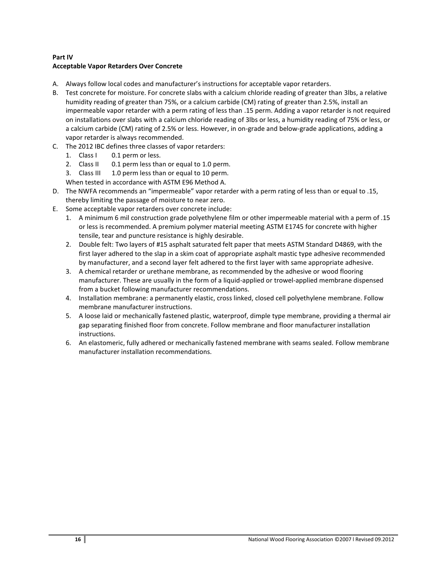## **Part IV Acceptable Vapor Retarders Over Concrete**

- A. Always follow local codes and manufacturer's instructions for acceptable vapor retarders.
- B. Test concrete for moisture. For concrete slabs with a calcium chloride reading of greater than 3lbs, a relative humidity reading of greater than 75%, or a calcium carbide (CM) rating of greater than 2.5%, install an impermeable vapor retarder with a perm rating of less than .15 perm. Adding a vapor retarder is not required on installations over slabs with a calcium chloride reading of 3lbs or less, a humidity reading of 75% or less, or a calcium carbide (CM) rating of 2.5% or less. However, in on-grade and below-grade applications, adding a vapor retarder is always recommended.
- C. The 2012 IBC defines three classes of vapor retarders:
	- 1. Class I 0.1 perm or less.
	- 2. Class II 0.1 perm less than or equal to 1.0 perm.
	- 3. Class III 1.0 perm less than or equal to 10 perm.
	- When tested in accordance with ASTM E96 Method A.
- D. The NWFA recommends an "impermeable" vapor retarder with a perm rating of less than or equal to .15, thereby limiting the passage of moisture to near zero.
- E. Some acceptable vapor retarders over concrete include:
	- 1. A minimum 6 mil construction grade polyethylene film or other impermeable material with a perm of .15 or less is recommended. A premium polymer material meeting ASTM E1745 for concrete with higher tensile, tear and puncture resistance is highly desirable.
	- 2. Double felt: Two layers of #15 asphalt saturated felt paper that meets ASTM Standard D4869, with the first layer adhered to the slap in a skim coat of appropriate asphalt mastic type adhesive recommended by manufacturer, and a second layer felt adhered to the first layer with same appropriate adhesive.
	- 3. A chemical retarder or urethane membrane, as recommended by the adhesive or wood flooring manufacturer. These are usually in the form of a liquid-applied or trowel-applied membrane dispensed from a bucket following manufacturer recommendations.
	- 4. Installation membrane: a permanently elastic, cross linked, closed cell polyethylene membrane. Follow membrane manufacturer instructions.
	- 5. A loose laid or mechanically fastened plastic, waterproof, dimple type membrane, providing a thermal air gap separating finished floor from concrete. Follow membrane and floor manufacturer installation instructions.
	- 6. An elastomeric, fully adhered or mechanically fastened membrane with seams sealed. Follow membrane manufacturer installation recommendations.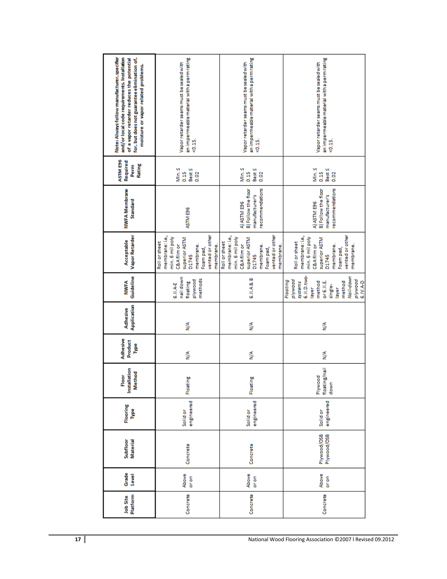| Note: Always follow manufacturer, specifier<br>and/or local code requirements. Installation<br>for, but does not guarantee elimination of,<br>of a vapor retarder reduces the potential<br>moisture or vapor related problems. | an impermeable material with a perm rating<br>Vapor retarder seams must be sealed with<br>$\frac{15}{9}$                                                        | an impermeable material with a perm rating<br>Vapor retarder seams must be sealed with<br>$5 - 15$                                                               | an impermeable material with a perm rating<br>Vapor retarder seams must be sealed with<br>20.15                                                                 |
|--------------------------------------------------------------------------------------------------------------------------------------------------------------------------------------------------------------------------------|-----------------------------------------------------------------------------------------------------------------------------------------------------------------|------------------------------------------------------------------------------------------------------------------------------------------------------------------|-----------------------------------------------------------------------------------------------------------------------------------------------------------------|
| ASTM E96<br>Required<br>Rating<br>Perm                                                                                                                                                                                         | Min.≤<br>Best<br>0.15<br>0.02                                                                                                                                   | Min. S<br>Best \$<br>0.15<br>0.02                                                                                                                                | Min. S<br>Best S<br>0.15<br>0.02                                                                                                                                |
| <b>NWFA Membrane</b><br>Standard                                                                                                                                                                                               | ASTM E96                                                                                                                                                        | recommendations<br>B) Follow the floor<br>manufacturer's<br>A) ASTM E96                                                                                          | recommendations<br>B) Follow the floor<br>manufacturer's<br>A) ASTM E96                                                                                         |
| Vapor Retarder<br>Acceptable                                                                                                                                                                                                   | vented or other<br>membrane: i.e.,<br>min. 6 mil poly<br>superior ASTM<br>Roll or sheet<br><b>C&amp;Afilmor</b><br>membrane.<br>membrane.<br>Foam pad,<br>D1745 | vented or other<br>membrane: i.e.,<br>min. 6 mil poly<br>superior ASTM<br>Roll or sheet<br><b>C&amp;Afilm or</b><br>membrane.<br>membrane.<br>Foam pad,<br>D1745 | vented or other<br>membrane: i.e.,<br>min. 6 mil poly<br>superior ASTM<br>Roll or sheet<br><b>C&amp;Afilmor</b><br>membrane.<br>membrane.<br>Foam pad,<br>D1745 |
| Guideline<br><b>NWIFA</b>                                                                                                                                                                                                      | nail down<br>methods<br>plywood<br>floating<br>6.II.A-E                                                                                                         | 6.II.A&B                                                                                                                                                         | 6.II.D.two-<br>Nail-down<br>plywood<br>plywood<br>Floating<br>systems<br>method<br>6.IV.A-D<br>method<br>or 6.II.E<br>single-<br>layer<br>layer                 |
| Application<br>Adhesive                                                                                                                                                                                                        | ≶                                                                                                                                                               | ≶                                                                                                                                                                | ≸                                                                                                                                                               |
| Adhesive<br>Product<br>Type                                                                                                                                                                                                    | ≸                                                                                                                                                               | ≶                                                                                                                                                                | ⋚                                                                                                                                                               |
| Installation<br>Method<br>Floor                                                                                                                                                                                                | Floating                                                                                                                                                        | Floating                                                                                                                                                         | floating/nail<br>Plywood<br>down                                                                                                                                |
| Flooring<br>Type                                                                                                                                                                                                               | engineered<br><b>Solid</b> or                                                                                                                                   | engineered<br><b>Solidor</b>                                                                                                                                     | engineered<br><b>Solid</b> or                                                                                                                                   |
| <b>Material</b><br>Subfloor                                                                                                                                                                                                    | Concrete                                                                                                                                                        | Concrete                                                                                                                                                         | Plywood/OSB<br>Plywood/OSB                                                                                                                                      |
| Grade<br>Level                                                                                                                                                                                                                 | Above<br>or on                                                                                                                                                  | Above<br>or on                                                                                                                                                   | Above<br>or on                                                                                                                                                  |
| Platform<br><b>Job Site</b>                                                                                                                                                                                                    | Concrete                                                                                                                                                        | Concrete                                                                                                                                                         | Concrete                                                                                                                                                        |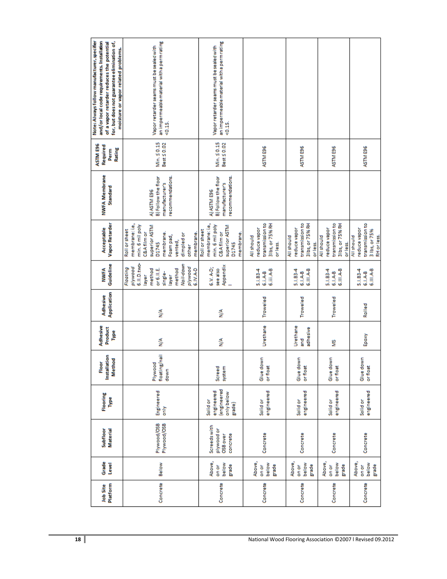| Platform<br><b>Job Site</b> | Grade<br>Level                    | <b>Material</b><br>Subfloor                       | Flooring<br>Type                                                   | Installation<br>Method<br>Floor  | Adhesive<br>Product<br>Type     | Application<br>Adhesive | Guideline<br><b>NWWFA</b>                                                                                                             | Vapor Retarder<br>Acceptable                                                                                                                                                    | <b>NWFA Membrane</b><br>Standard                                         | ASTM E96<br>Required<br>Rating<br>Perm | Note: Always follow manufacturer, specifier<br>and/or local code requirements. Installation<br>for, but does not guarantee elimination of,<br>of a vapor retarder reduces the potential<br>moisture or vapor related problems. |
|-----------------------------|-----------------------------------|---------------------------------------------------|--------------------------------------------------------------------|----------------------------------|---------------------------------|-------------------------|---------------------------------------------------------------------------------------------------------------------------------------|---------------------------------------------------------------------------------------------------------------------------------------------------------------------------------|--------------------------------------------------------------------------|----------------------------------------|--------------------------------------------------------------------------------------------------------------------------------------------------------------------------------------------------------------------------------|
| Concrete                    | Below                             | Plywood/OSB<br>Plywood/OSB                        | Engineered<br>only                                                 | floating/nail<br>Plywood<br>down | ≸                               | ≸                       | 6.II.D.two-<br>Nail-down<br>plywood<br>plywood<br>Floating<br>method<br>6.1V.A.D<br>method<br>or 6.II.E.<br>single-<br>layer<br>layer | membrane: i.e.,<br>min. 6 mil poly<br>superior ASTM<br>Roll or sheet<br>membrane.<br><b>C&amp;Afilm or</b><br>membrane.<br>dimpled or<br>Foam pad,<br>vented,<br>D1745<br>other | recommendations.<br>B) Follow the floor<br>manufacturer's<br>A) ASTM E96 | Min. 50.15<br>Best ≤ 0.02              | an impermeable material with a perm rating<br>Vapor retarder seams must be sealed with<br>$20.15$ .                                                                                                                            |
| Concrete                    | Above,<br>below<br>grade<br>on or | Screedswith<br>plywood or<br>concrete<br>OSB over | engineered<br>engineered<br>only below<br><b>Solidor</b><br>grade) | Screed<br>system                 | ≸                               | ≸                       | Appendix<br>6.V. A-D;<br>see also                                                                                                     | membrane: i.e.,<br>min. 6 mil poly<br>superior ASTM<br>Roll or sheet<br><b>C&amp;Afilm or</b><br>membrane.<br>D1745                                                             | recommendations.<br>B) Follow the floor<br>manufacturer's<br>A) ASTM E96 | Min. 50.15<br>Best ≤ 0.02              | an impermeable material with a perm rating<br>Vapor retarder seams must be sealed with<br>20.15                                                                                                                                |
| Concrete                    | Above,<br>below<br>grade<br>on or | Concrete                                          | engineered<br><b>Solidor</b>                                       | Glue down<br>or float            | Urethane                        | Troweled                | 5.1.83-4<br>6.iii.A-B<br>6.i.A-B                                                                                                      | transmission to<br>3lbs, or 75% RH<br>reduce vapor<br>All should<br>or less.                                                                                                    |                                                                          | ASTM E96                               |                                                                                                                                                                                                                                |
| Concrete                    | Above,<br>below<br>grade<br>on or | Concrete                                          | engineered<br><b>Solid</b> or                                      | Glue down<br>or float            | Urethane<br>adhesive<br>nd<br>G | Troweled                | 5.1.834<br>6.III.A-B<br>6.I.A-B                                                                                                       | transmission to<br>3lbs, or 75% RH<br>reduce vapor<br>All should<br>or less.                                                                                                    |                                                                          | ASTM E96                               |                                                                                                                                                                                                                                |
| Concrete                    | Above,<br>below<br>grade<br>on or | Concrete                                          | engineered<br><b>Solidor</b>                                       | Glue down<br>or float            | g                               | Troweled                | 5.1.83-4<br>6.III.A-B<br>6.I.A-B                                                                                                      | transmission to<br>3lbs, or 75% RH<br>reduce vapor<br>All should<br>or less.                                                                                                    |                                                                          | ASTM E96                               |                                                                                                                                                                                                                                |
| Concrete                    | Above,<br>below<br>grade<br>on or | Concrete                                          | engineered<br><b>Solid</b> or                                      | Glue down<br>or float            | Epoxy                           | Rolled                  | 5.1.83-4<br>6.III.A-B<br>6.I.A-B                                                                                                      | transmission to<br>reduce vapor<br>3 lbs, or 75%<br>RH or less.<br>All should                                                                                                   |                                                                          | ASTM E96                               |                                                                                                                                                                                                                                |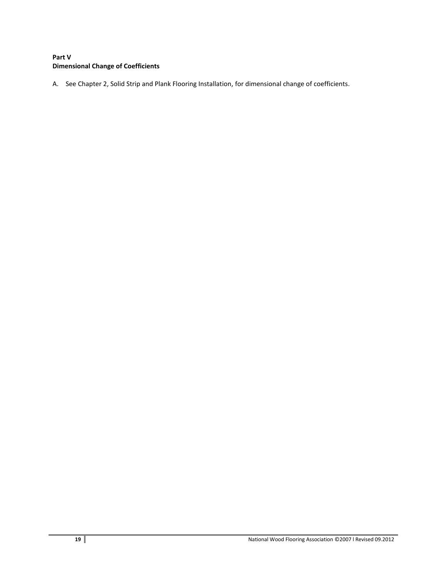## **Part V Dimensional Change of Coefficients**

A. See Chapter 2, Solid Strip and Plank Flooring Installation, for dimensional change of coefficients.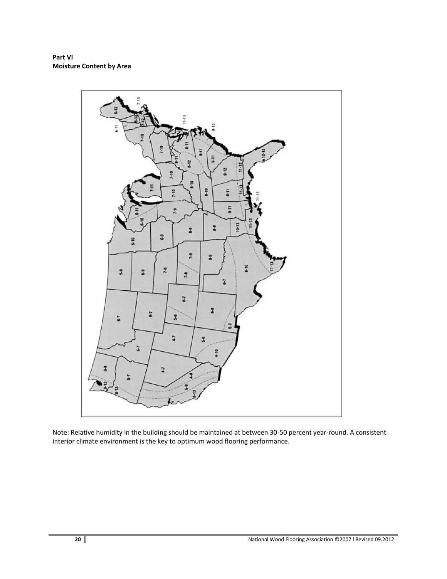**Part VI Moisture Content by Area**



Note: Relative humidity in the building should be maintained at between 30-50 percent year-round. A consistent interior climate environment is the key to optimum wood flooring performance.